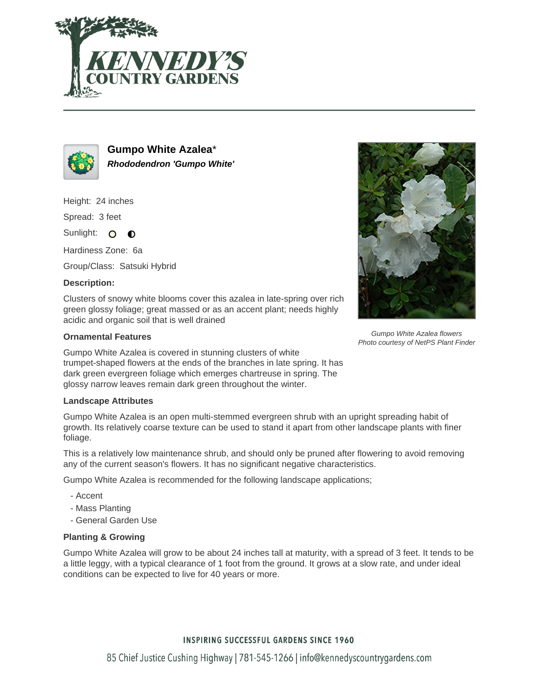



**Gumpo White Azalea**\* **Rhododendron 'Gumpo White'**

Height: 24 inches

Spread: 3 feet

Sunlight: O  $\bullet$ 

Hardiness Zone: 6a

Group/Class: Satsuki Hybrid

# **Description:**

Clusters of snowy white blooms cover this azalea in late-spring over rich green glossy foliage; great massed or as an accent plant; needs highly acidic and organic soil that is well drained

# **Ornamental Features**

Gumpo White Azalea is covered in stunning clusters of white trumpet-shaped flowers at the ends of the branches in late spring. It has dark green evergreen foliage which emerges chartreuse in spring. The glossy narrow leaves remain dark green throughout the winter.

### **Landscape Attributes**

Gumpo White Azalea is an open multi-stemmed evergreen shrub with an upright spreading habit of growth. Its relatively coarse texture can be used to stand it apart from other landscape plants with finer foliage.

This is a relatively low maintenance shrub, and should only be pruned after flowering to avoid removing any of the current season's flowers. It has no significant negative characteristics.

Gumpo White Azalea is recommended for the following landscape applications;

- Accent
- Mass Planting
- General Garden Use

### **Planting & Growing**

Gumpo White Azalea will grow to be about 24 inches tall at maturity, with a spread of 3 feet. It tends to be a little leggy, with a typical clearance of 1 foot from the ground. It grows at a slow rate, and under ideal conditions can be expected to live for 40 years or more.



Gumpo White Azalea flowers Photo courtesy of NetPS Plant Finder

# **INSPIRING SUCCESSFUL GARDENS SINCE 1960**